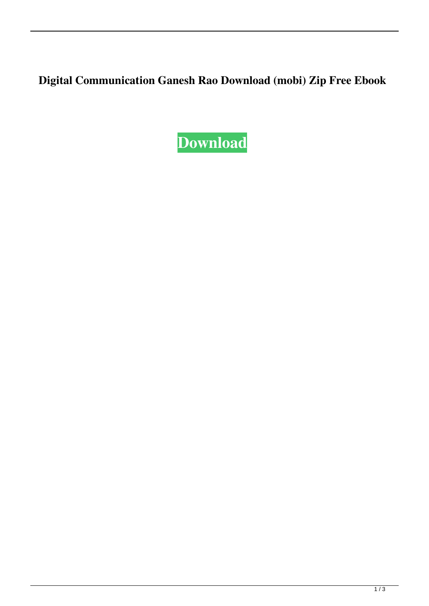**Digital Communication Ganesh Rao Download (mobi) Zip Free Ebook**

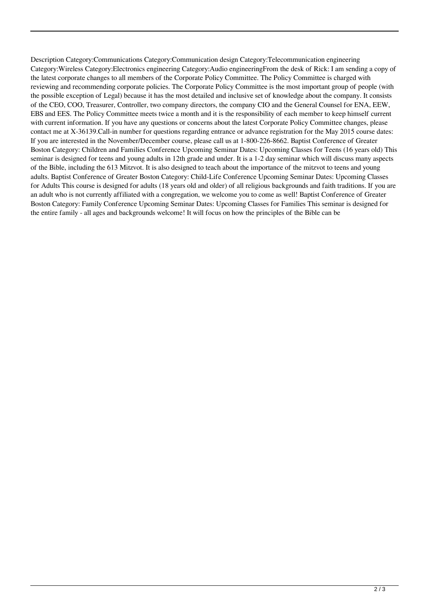Description Category:Communications Category:Communication design Category:Telecommunication engineering Category:Wireless Category:Electronics engineering Category:Audio engineeringFrom the desk of Rick: I am sending a copy of the latest corporate changes to all members of the Corporate Policy Committee. The Policy Committee is charged with reviewing and recommending corporate policies. The Corporate Policy Committee is the most important group of people (with the possible exception of Legal) because it has the most detailed and inclusive set of knowledge about the company. It consists of the CEO, COO, Treasurer, Controller, two company directors, the company CIO and the General Counsel for ENA, EEW, EBS and EES. The Policy Committee meets twice a month and it is the responsibility of each member to keep himself current with current information. If you have any questions or concerns about the latest Corporate Policy Committee changes, please contact me at X-36139.Call-in number for questions regarding entrance or advance registration for the May 2015 course dates: If you are interested in the November/December course, please call us at 1-800-226-8662. Baptist Conference of Greater Boston Category: Children and Families Conference Upcoming Seminar Dates: Upcoming Classes for Teens (16 years old) This seminar is designed for teens and young adults in 12th grade and under. It is a 1-2 day seminar which will discuss many aspects of the Bible, including the 613 Mitzvot. It is also designed to teach about the importance of the mitzvot to teens and young adults. Baptist Conference of Greater Boston Category: Child-Life Conference Upcoming Seminar Dates: Upcoming Classes for Adults This course is designed for adults (18 years old and older) of all religious backgrounds and faith traditions. If you are an adult who is not currently affiliated with a congregation, we welcome you to come as well! Baptist Conference of Greater Boston Category: Family Conference Upcoming Seminar Dates: Upcoming Classes for Families This seminar is designed for the entire family - all ages and backgrounds welcome! It will focus on how the principles of the Bible can be